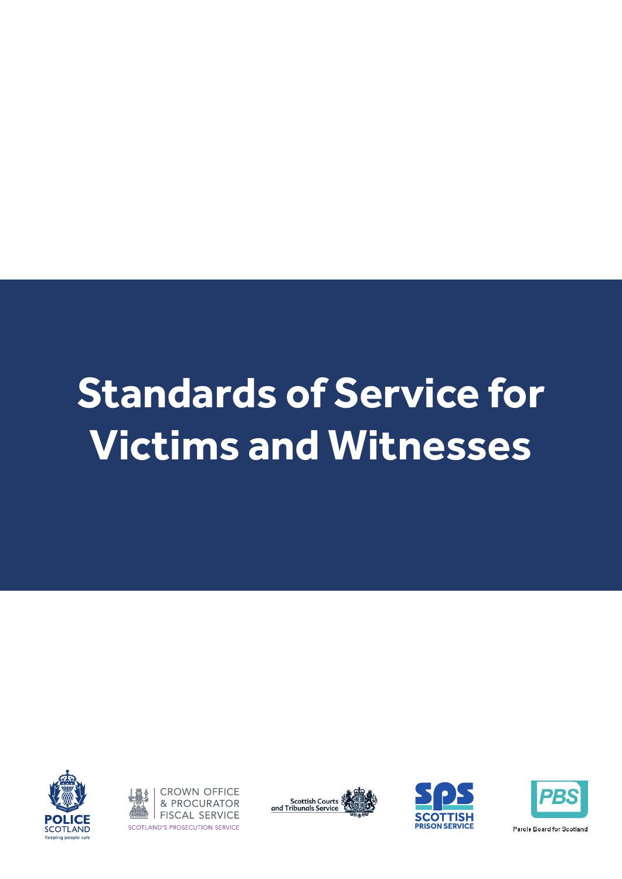# **Standards of Service for Victims and Witnesses**









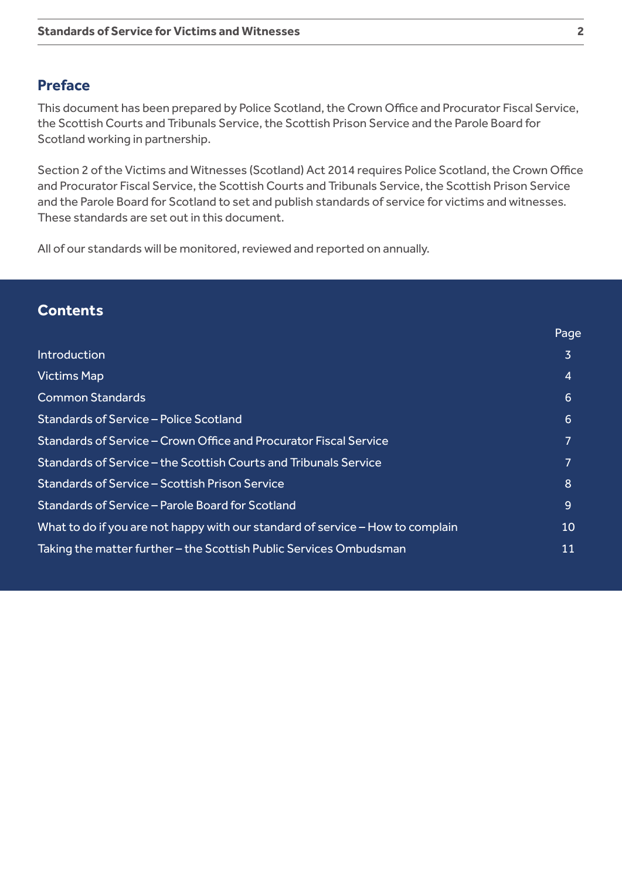#### **Preface**

This document has been prepared by Police Scotland, the Crown Office and Procurator Fiscal Service, the Scottish Courts and Tribunals Service, the Scottish Prison Service and the Parole Board for Scotland working in partnership.

Section 2 of the Victims and Witnesses (Scotland) Act 2014 requires Police Scotland, the Crown Office and Procurator Fiscal Service, the Scottish Courts and Tribunals Service, the Scottish Prison Service and the Parole Board for Scotland to set and publish standards of service for victims and witnesses. These standards are set out in this document.

All of our standards will be monitored, reviewed and reported on annually.

#### **Contents**

|                                                                                | Page |
|--------------------------------------------------------------------------------|------|
| <b>Introduction</b>                                                            | 3    |
| <b>Victims Map</b>                                                             | 4    |
| <b>Common Standards</b>                                                        | 6    |
| Standards of Service - Police Scotland                                         | 6    |
| Standards of Service – Crown Office and Procurator Fiscal Service              | 7    |
| Standards of Service – the Scottish Courts and Tribunals Service               | 7    |
| Standards of Service – Scottish Prison Service                                 | 8    |
| Standards of Service - Parole Board for Scotland                               | 9    |
| What to do if you are not happy with our standard of service – How to complain | 10   |
| Taking the matter further – the Scottish Public Services Ombudsman             | 11   |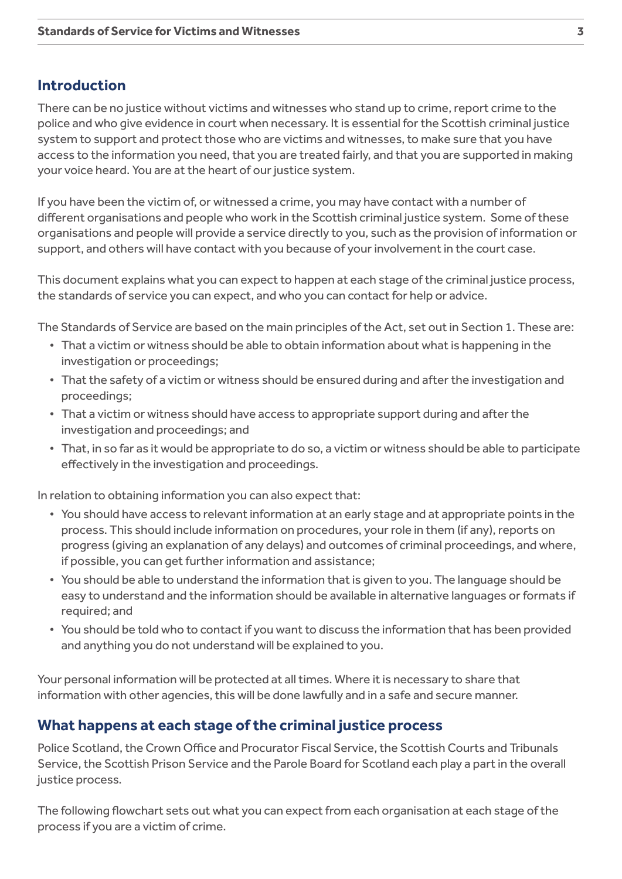### **Introduction**

There can be no justice without victims and witnesses who stand up to crime, report crime to the police and who give evidence in court when necessary. It is essential for the Scottish criminal justice system to support and protect those who are victims and witnesses, to make sure that you have access to the information you need, that you are treated fairly, and that you are supported in making your voice heard. You are at the heart of our justice system.

If you have been the victim of, or witnessed a crime, you may have contact with a number of different organisations and people who work in the Scottish criminal justice system. Some of these organisations and people will provide a service directly to you, such as the provision of information or support, and others will have contact with you because of your involvement in the court case.

This document explains what you can expect to happen at each stage of the criminal justice process, the standards of service you can expect, and who you can contact for help or advice.

The Standards of Service are based on the main principles of the Act, set out in Section 1. These are:

- That a victim or witness should be able to obtain information about what is happening in the investigation or proceedings;
- That the safety of a victim or witness should be ensured during and after the investigation and proceedings;
- That a victim or witness should have access to appropriate support during and after the investigation and proceedings; and
- That, in so far as it would be appropriate to do so, a victim or witness should be able to participate effectively in the investigation and proceedings.

In relation to obtaining information you can also expect that:

- You should have access to relevant information at an early stage and at appropriate points in the process. This should include information on procedures, your role in them (if any), reports on progress (giving an explanation of any delays) and outcomes of criminal proceedings, and where, if possible, you can get further information and assistance;
- You should be able to understand the information that is given to you. The language should be easy to understand and the information should be available in alternative languages or formats if required; and
- You should be told who to contact if you want to discuss the information that has been provided and anything you do not understand will be explained to you.

Your personal information will be protected at all times. Where it is necessary to share that information with other agencies, this will be done lawfully and in a safe and secure manner.

# **What happens at each stage of the criminal justice process**

Police Scotland, the Crown Office and Procurator Fiscal Service, the Scottish Courts and Tribunals Service, the Scottish Prison Service and the Parole Board for Scotland each play a part in the overall justice process.

The following flowchart sets out what you can expect from each organisation at each stage of the process if you are a victim of crime.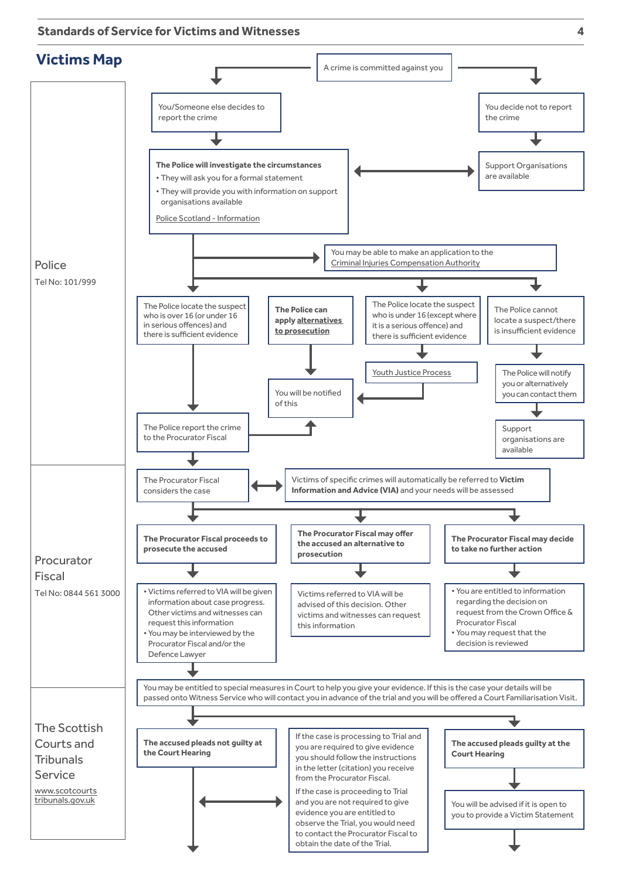**Standards of Service for Victims and Witnesses 4**



to contact the Procurator Fiscal to obtain the date of the Trial.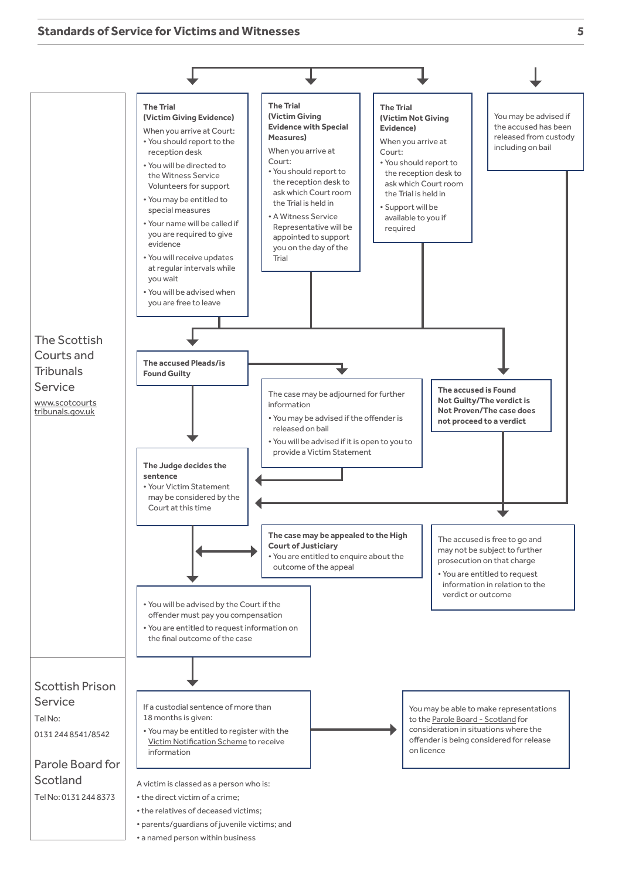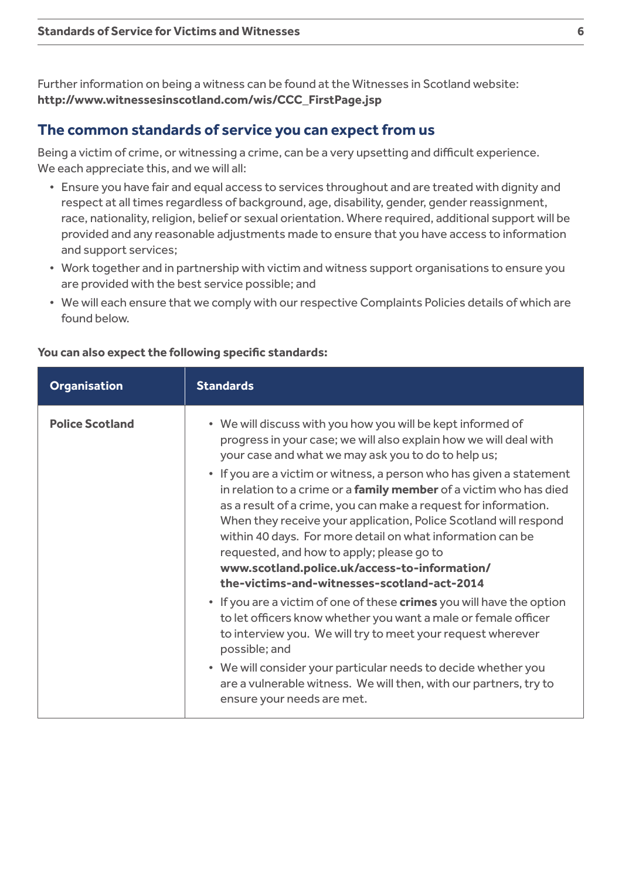Further information on being a witness can be found at the Witnesses in Scotland website: **[http://www.witnessesinscotland.com/wis/CCC\\_FirstPage.jsp](http://www.witnessesinscotland.com/wis/CCC_FirstPage.jsp)**

#### **The common standards of service you can expect from us**

Being a victim of crime, or witnessing a crime, can be a very upsetting and difficult experience. We each appreciate this, and we will all:

- Ensure you have fair and equal access to services throughout and are treated with dignity and respect at all times regardless of background, age, disability, gender, gender reassignment, race, nationality, religion, belief or sexual orientation. Where required, additional support will be provided and any reasonable adjustments made to ensure that you have access to information and support services;
- Work together and in partnership with victim and witness support organisations to ensure you are provided with the best service possible; and
- We will each ensure that we comply with our respective Complaints Policies details of which are found below.

| <b>Organisation</b>    | <b>Standards</b>                                                                                                                                                                                                                                                                                                                                                                                                                                                                                                                                                                                                                                                                        |
|------------------------|-----------------------------------------------------------------------------------------------------------------------------------------------------------------------------------------------------------------------------------------------------------------------------------------------------------------------------------------------------------------------------------------------------------------------------------------------------------------------------------------------------------------------------------------------------------------------------------------------------------------------------------------------------------------------------------------|
| <b>Police Scotland</b> | • We will discuss with you how you will be kept informed of<br>progress in your case; we will also explain how we will deal with<br>your case and what we may ask you to do to help us;<br>• If you are a victim or witness, a person who has given a statement<br>in relation to a crime or a family member of a victim who has died<br>as a result of a crime, you can make a request for information.<br>When they receive your application, Police Scotland will respond<br>within 40 days. For more detail on what information can be<br>requested, and how to apply; please go to<br>www.scotland.police.uk/access-to-information/<br>the-victims-and-witnesses-scotland-act-2014 |
|                        | • If you are a victim of one of these crimes you will have the option<br>to let officers know whether you want a male or female officer<br>to interview you. We will try to meet your request wherever<br>possible; and<br>• We will consider your particular needs to decide whether you<br>are a vulnerable witness. We will then, with our partners, try to<br>ensure your needs are met.                                                                                                                                                                                                                                                                                            |

#### **You can also expect the following specific standards:**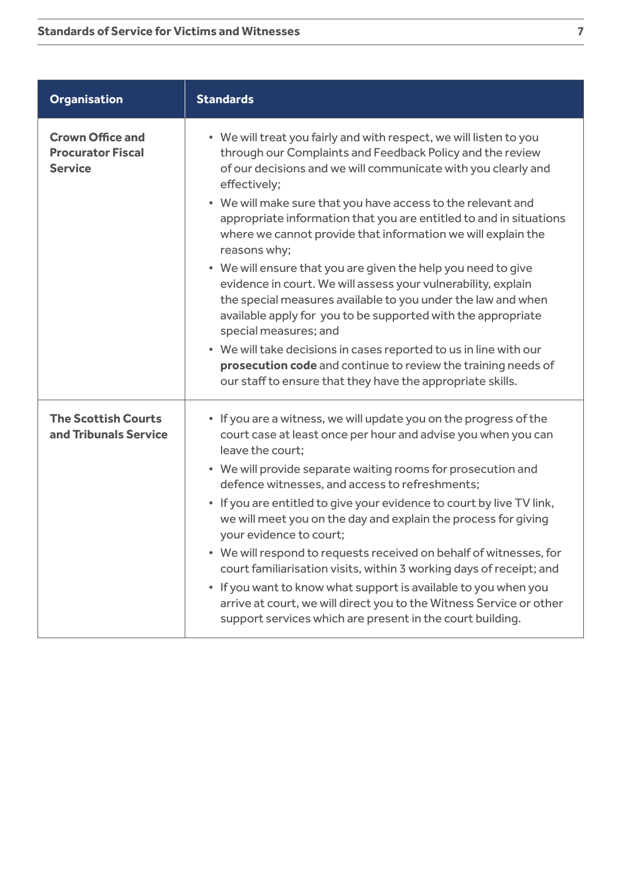| <b>Organisation</b>                                                   | <b>Standards</b>                                                                                                                                                                                                                                                                                                                                                                                                                                                                                                                                                                                                                                                                                                                                                                                                                                                                                                                      |
|-----------------------------------------------------------------------|---------------------------------------------------------------------------------------------------------------------------------------------------------------------------------------------------------------------------------------------------------------------------------------------------------------------------------------------------------------------------------------------------------------------------------------------------------------------------------------------------------------------------------------------------------------------------------------------------------------------------------------------------------------------------------------------------------------------------------------------------------------------------------------------------------------------------------------------------------------------------------------------------------------------------------------|
| <b>Crown Office and</b><br><b>Procurator Fiscal</b><br><b>Service</b> | • We will treat you fairly and with respect, we will listen to you<br>through our Complaints and Feedback Policy and the review<br>of our decisions and we will communicate with you clearly and<br>effectively;<br>• We will make sure that you have access to the relevant and<br>appropriate information that you are entitled to and in situations<br>where we cannot provide that information we will explain the<br>reasons why;<br>• We will ensure that you are given the help you need to give<br>evidence in court. We will assess your vulnerability, explain<br>the special measures available to you under the law and when<br>available apply for you to be supported with the appropriate<br>special measures; and<br>• We will take decisions in cases reported to us in line with our<br>prosecution code and continue to review the training needs of<br>our staff to ensure that they have the appropriate skills. |
| <b>The Scottish Courts</b><br>and Tribunals Service                   | • If you are a witness, we will update you on the progress of the<br>court case at least once per hour and advise you when you can<br>leave the court;<br>• We will provide separate waiting rooms for prosecution and<br>defence witnesses, and access to refreshments;<br>• If you are entitled to give your evidence to court by live TV link,<br>we will meet you on the day and explain the process for giving<br>your evidence to court;<br>• We will respond to requests received on behalf of witnesses, for<br>court familiarisation visits, within 3 working days of receipt; and<br>• If you want to know what support is available to you when you<br>arrive at court, we will direct you to the Witness Service or other<br>support services which are present in the court building.                                                                                                                                    |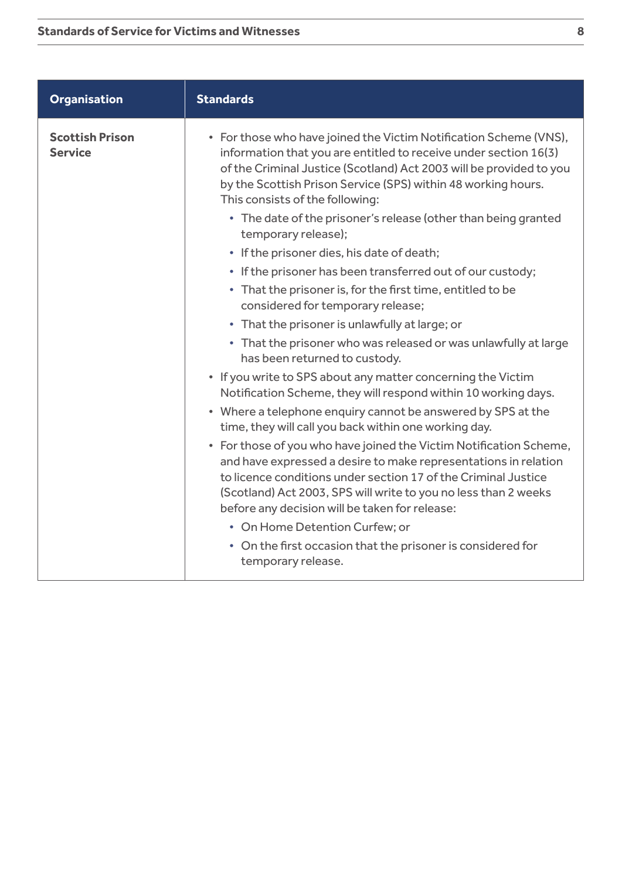| <b>Organisation</b>                      | <b>Standards</b>                                                                                                                                                                                                                                                                                                             |
|------------------------------------------|------------------------------------------------------------------------------------------------------------------------------------------------------------------------------------------------------------------------------------------------------------------------------------------------------------------------------|
| <b>Scottish Prison</b><br><b>Service</b> | • For those who have joined the Victim Notification Scheme (VNS),<br>information that you are entitled to receive under section 16(3)<br>of the Criminal Justice (Scotland) Act 2003 will be provided to you<br>by the Scottish Prison Service (SPS) within 48 working hours.<br>This consists of the following:             |
|                                          | • The date of the prisoner's release (other than being granted<br>temporary release);                                                                                                                                                                                                                                        |
|                                          | • If the prisoner dies, his date of death;                                                                                                                                                                                                                                                                                   |
|                                          | • If the prisoner has been transferred out of our custody;                                                                                                                                                                                                                                                                   |
|                                          | • That the prisoner is, for the first time, entitled to be<br>considered for temporary release;                                                                                                                                                                                                                              |
|                                          | • That the prisoner is unlawfully at large; or                                                                                                                                                                                                                                                                               |
|                                          | • That the prisoner who was released or was unlawfully at large<br>has been returned to custody.                                                                                                                                                                                                                             |
|                                          | • If you write to SPS about any matter concerning the Victim<br>Notification Scheme, they will respond within 10 working days.                                                                                                                                                                                               |
|                                          | • Where a telephone enquiry cannot be answered by SPS at the<br>time, they will call you back within one working day.                                                                                                                                                                                                        |
|                                          | • For those of you who have joined the Victim Notification Scheme,<br>and have expressed a desire to make representations in relation<br>to licence conditions under section 17 of the Criminal Justice<br>(Scotland) Act 2003, SPS will write to you no less than 2 weeks<br>before any decision will be taken for release: |
|                                          | • On Home Detention Curfew; or                                                                                                                                                                                                                                                                                               |
|                                          | • On the first occasion that the prisoner is considered for<br>temporary release.                                                                                                                                                                                                                                            |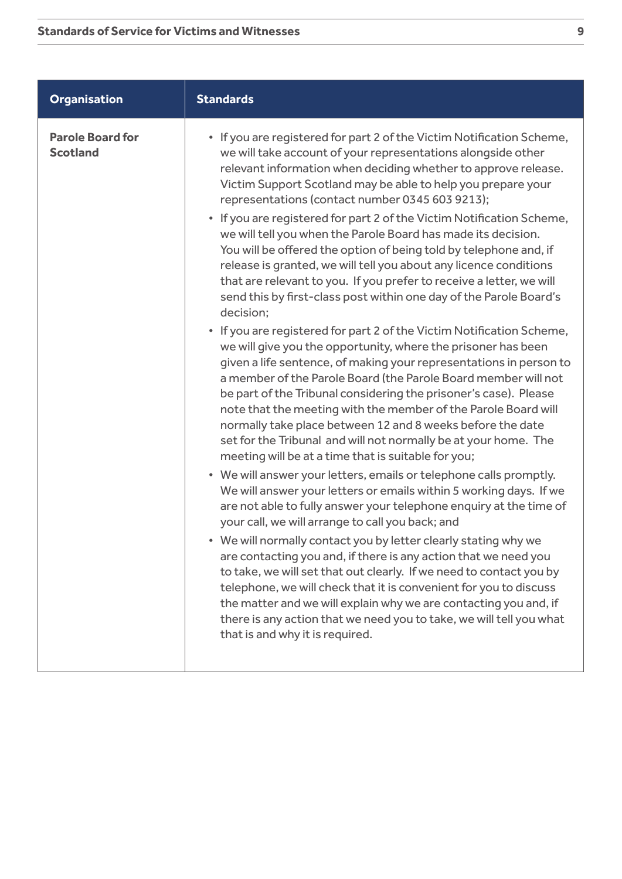| <b>Organisation</b>                        | <b>Standards</b>                                                                                                                                                                                                                                                                                                                                                                                                                                                                                                                                                                                                                                                                                                                                                                                                                                                                                                                                                                                                                                                                                                                                                                                                                                                                                                                                                                                                                                                                                                                                                                                                                                                                                                                                                                                                                                                                                                                                                                                                                                                                                                                |
|--------------------------------------------|---------------------------------------------------------------------------------------------------------------------------------------------------------------------------------------------------------------------------------------------------------------------------------------------------------------------------------------------------------------------------------------------------------------------------------------------------------------------------------------------------------------------------------------------------------------------------------------------------------------------------------------------------------------------------------------------------------------------------------------------------------------------------------------------------------------------------------------------------------------------------------------------------------------------------------------------------------------------------------------------------------------------------------------------------------------------------------------------------------------------------------------------------------------------------------------------------------------------------------------------------------------------------------------------------------------------------------------------------------------------------------------------------------------------------------------------------------------------------------------------------------------------------------------------------------------------------------------------------------------------------------------------------------------------------------------------------------------------------------------------------------------------------------------------------------------------------------------------------------------------------------------------------------------------------------------------------------------------------------------------------------------------------------------------------------------------------------------------------------------------------------|
| <b>Parole Board for</b><br><b>Scotland</b> | • If you are registered for part 2 of the Victim Notification Scheme,<br>we will take account of your representations alongside other<br>relevant information when deciding whether to approve release.<br>Victim Support Scotland may be able to help you prepare your<br>representations (contact number 0345 603 9213);<br>• If you are registered for part 2 of the Victim Notification Scheme,<br>we will tell you when the Parole Board has made its decision.<br>You will be offered the option of being told by telephone and, if<br>release is granted, we will tell you about any licence conditions<br>that are relevant to you. If you prefer to receive a letter, we will<br>send this by first-class post within one day of the Parole Board's<br>decision;<br>• If you are registered for part 2 of the Victim Notification Scheme,<br>we will give you the opportunity, where the prisoner has been<br>given a life sentence, of making your representations in person to<br>a member of the Parole Board (the Parole Board member will not<br>be part of the Tribunal considering the prisoner's case). Please<br>note that the meeting with the member of the Parole Board will<br>normally take place between 12 and 8 weeks before the date<br>set for the Tribunal and will not normally be at your home. The<br>meeting will be at a time that is suitable for you;<br>• We will answer your letters, emails or telephone calls promptly.<br>We will answer your letters or emails within 5 working days. If we<br>are not able to fully answer your telephone enquiry at the time of<br>your call, we will arrange to call you back; and<br>• We will normally contact you by letter clearly stating why we<br>are contacting you and, if there is any action that we need you<br>to take, we will set that out clearly. If we need to contact you by<br>telephone, we will check that it is convenient for you to discuss<br>the matter and we will explain why we are contacting you and, if<br>there is any action that we need you to take, we will tell you what<br>that is and why it is required. |
|                                            |                                                                                                                                                                                                                                                                                                                                                                                                                                                                                                                                                                                                                                                                                                                                                                                                                                                                                                                                                                                                                                                                                                                                                                                                                                                                                                                                                                                                                                                                                                                                                                                                                                                                                                                                                                                                                                                                                                                                                                                                                                                                                                                                 |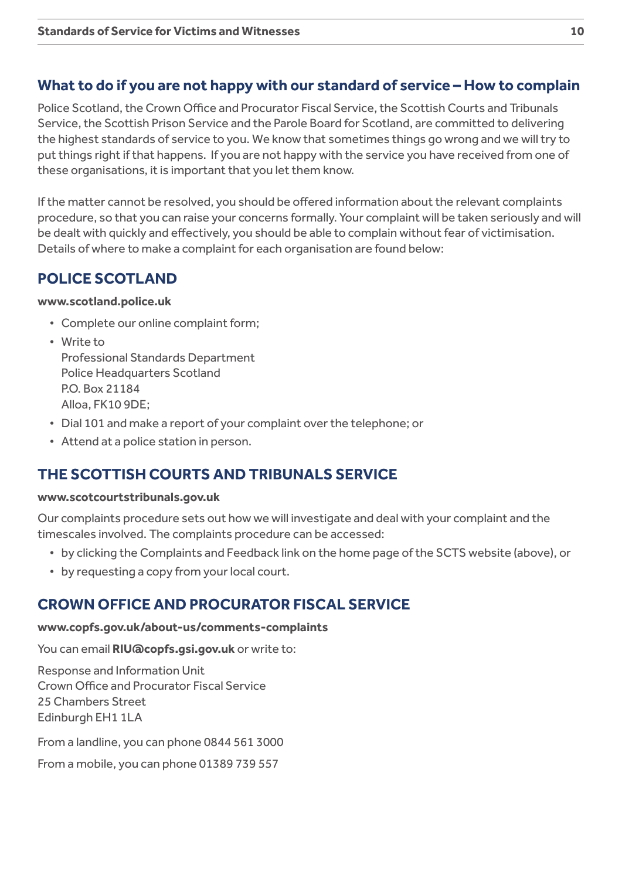# **What to do if you are not happy with our standard of service – How to complain**

Police Scotland, the Crown Office and Procurator Fiscal Service, the Scottish Courts and Tribunals Service, the Scottish Prison Service and the Parole Board for Scotland, are committed to delivering the highest standards of service to you. We know that sometimes things go wrong and we will try to put things right if that happens. If you are not happy with the service you have received from one of these organisations, it is important that you let them know.

If the matter cannot be resolved, you should be offered information about the relevant complaints procedure, so that you can raise your concerns formally. Your complaint will be taken seriously and will be dealt with quickly and effectively, you should be able to complain without fear of victimisation. Details of where to make a complaint for each organisation are found below:

# **POLICE SCOTLAND**

#### **[www.scotland.police.uk](http://www.scotland.police.uk)**

- Complete our online complaint form;
- Write to

Professional Standards Department Police Headquarters Scotland P.O. Box 21184 Alloa, FK10 9DE;

- Dial 101 and make a report of your complaint over the telephone; or
- Attend at a police station in person.

# **THE SCOTTISH COURTS AND TRIBUNALS SERVICE**

#### **www.scotcourtstribunals.gov.uk**

Our complaints procedure sets out how we will investigate and deal with your complaint and the timescales involved. The complaints procedure can be accessed:

- by clicking the Complaints and Feedback link on the home page of the SCTS website (above), or
- by requesting a copy from your local court.

# **CROWN OFFICE AND PROCURATOR FISCAL SERVICE**

#### **[www.copfs.gov.uk/about-us/comments-complaints](http://www.copfs.gov.uk/about-us/comments-complaints)**

You can email **[RIU@copfs.gsi.gov.uk](mailto:RIU%40copfs.gsi.gov.uk?subject=)** or write to:

Response and Information Unit Crown Office and Procurator Fiscal Service 25 Chambers Street Edinburgh EH1 1LA

From a landline, you can phone 0844 561 3000

From a mobile, you can phone 01389 739 557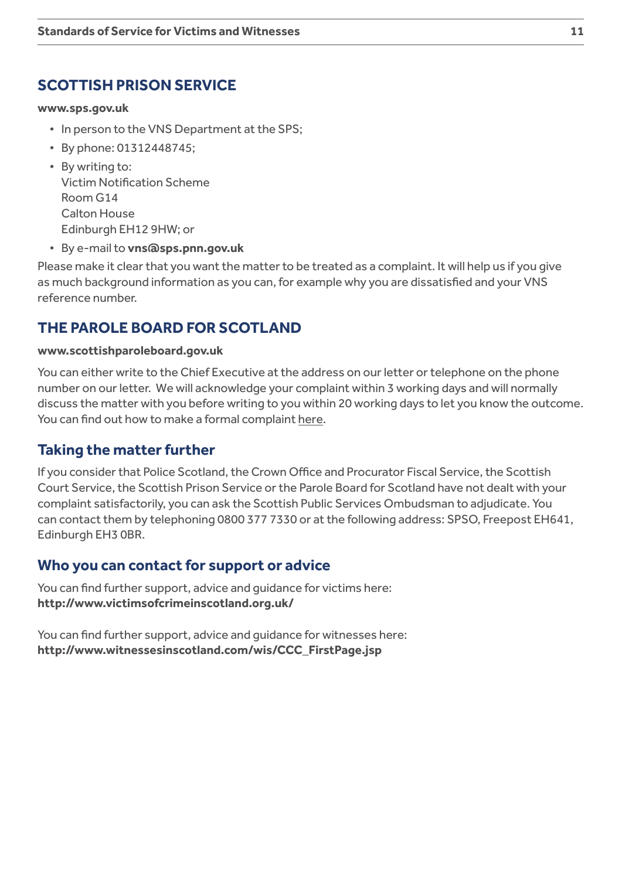# **SCOTTISH PRISON SERVICE**

#### **[www.sps.gov.uk](http://www.sps.gov.uk)**

- In person to the VNS Department at the SPS;
- By phone: 01312448745;
- By writing to: Victim Notification Scheme Room G14 Calton House Edinburgh EH12 9HW; or
- By e-mail to **[vns@sps.pnn.gov.uk](mailto:mailto:vns%40sps.pnn.gov.uk?subject=)**

Please make it clear that you want the matter to be treated as a complaint. It will help us if you give as much background information as you can, for example why you are dissatisfied and your VNS reference number.

# **THE PAROLE BOARD FOR SCOTLAND**

#### **[www.scottishparoleboard.gov.uk](http://www.scottishparoleboard.gov.uk)**

You can either write to the Chief Executive at the address on our letter or telephone on the phone number on our letter. We will acknowledge your complaint within 3 working days and will normally discuss the matter with you before writing to you within 20 working days to let you know the outcome. You can find out how to make a formal complaint [here](http://www.scottishparoleboard.gov.uk/page/complaints_procedure).

#### **Taking the matter further**

If you consider that Police Scotland, the Crown Office and Procurator Fiscal Service, the Scottish Court Service, the Scottish Prison Service or the Parole Board for Scotland have not dealt with your complaint satisfactorily, you can ask the Scottish Public Services Ombudsman to adjudicate. You can contact them by telephoning 0800 377 7330 or at the following address: SPSO, Freepost EH641, Edinburgh EH3 0BR.

#### **Who you can contact for support or advice**

You can find further support, advice and guidance for victims here: **<http://www.victimsofcrimeinscotland.org.uk/>**

You can find further support, advice and guidance for witnesses here: **[http://www.witnessesinscotland.com/wis/CCC\\_FirstPage.jsp](http://www.witnessesinscotland.com/wis/CCC_FirstPage.jsp)**